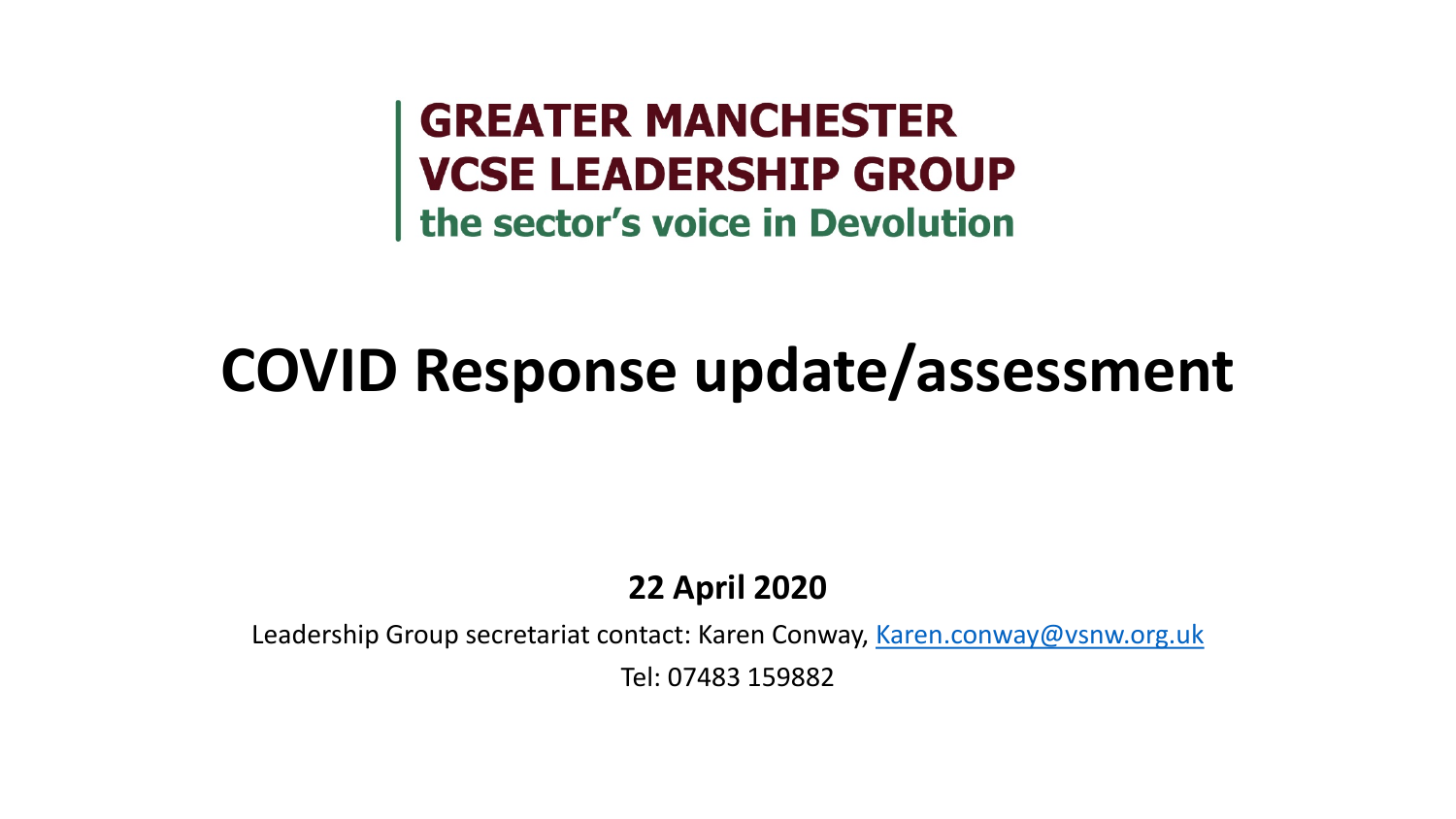**GREATER MANCHESTER<br>VCSE LEADERSHIP GROUP<br>the sector's voice in Devolution** 

## **COVID Response update/assessment**

#### **22 April 2020**

Leadership Group secretariat contact: Karen Conway, [Karen.conway@vsnw.org.uk](mailto:Karen.conway@vsnw.org.uk)

Tel: 07483 159882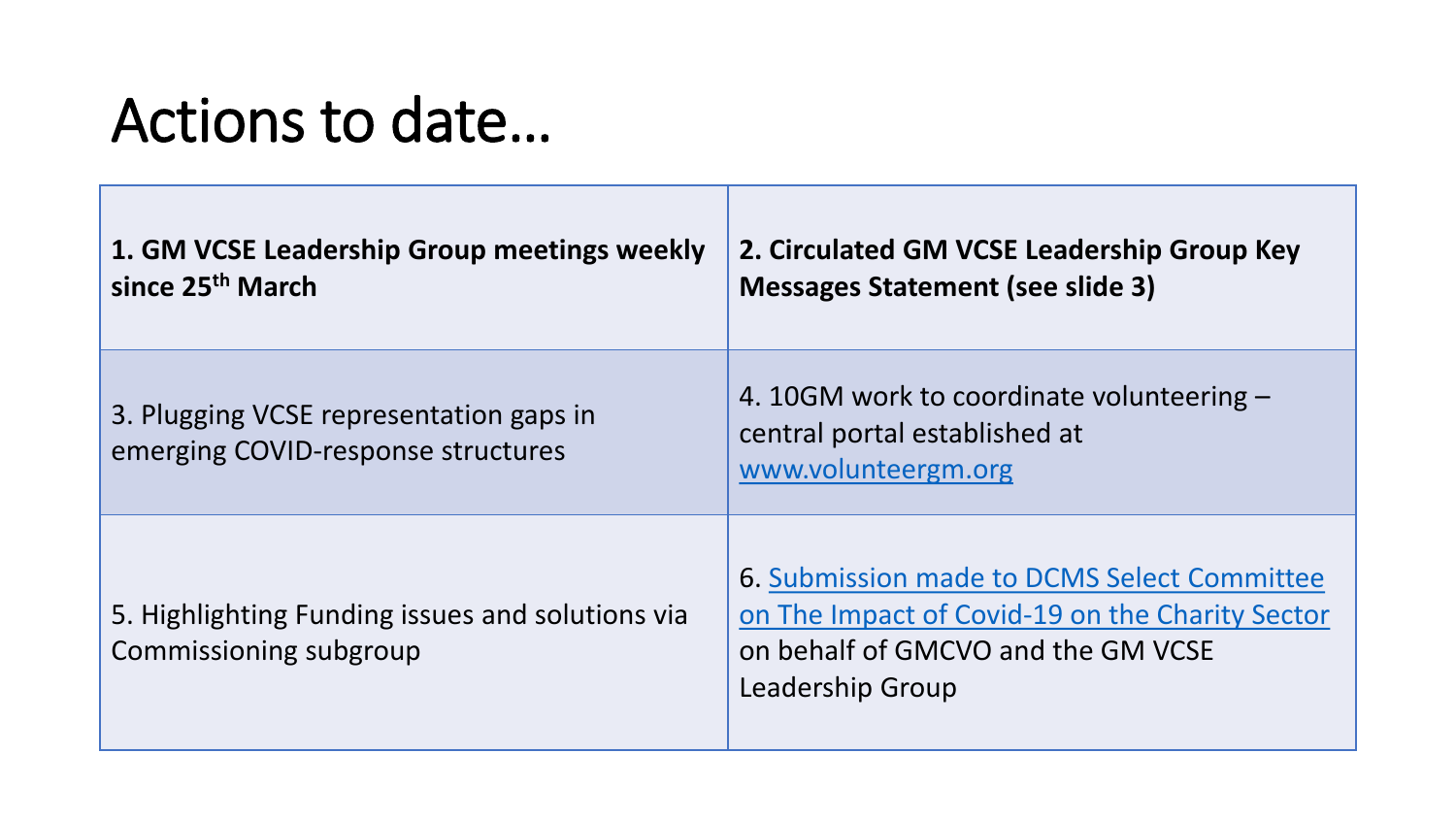## Actions to date…

| 1. GM VCSE Leadership Group meetings weekly<br>since 25 <sup>th</sup> March   | 2. Circulated GM VCSE Leadership Group Key<br><b>Messages Statement (see slide 3)</b>                                                                    |
|-------------------------------------------------------------------------------|----------------------------------------------------------------------------------------------------------------------------------------------------------|
| 3. Plugging VCSE representation gaps in<br>emerging COVID-response structures | 4. 10GM work to coordinate volunteering $-$<br>central portal established at<br>www.volunteergm.org                                                      |
| 5. Highlighting Funding issues and solutions via<br>Commissioning subgroup    | 6. Submission made to DCMS Select Committee<br>on The Impact of Covid-19 on the Charity Sector<br>on behalf of GMCVO and the GM VCSE<br>Leadership Group |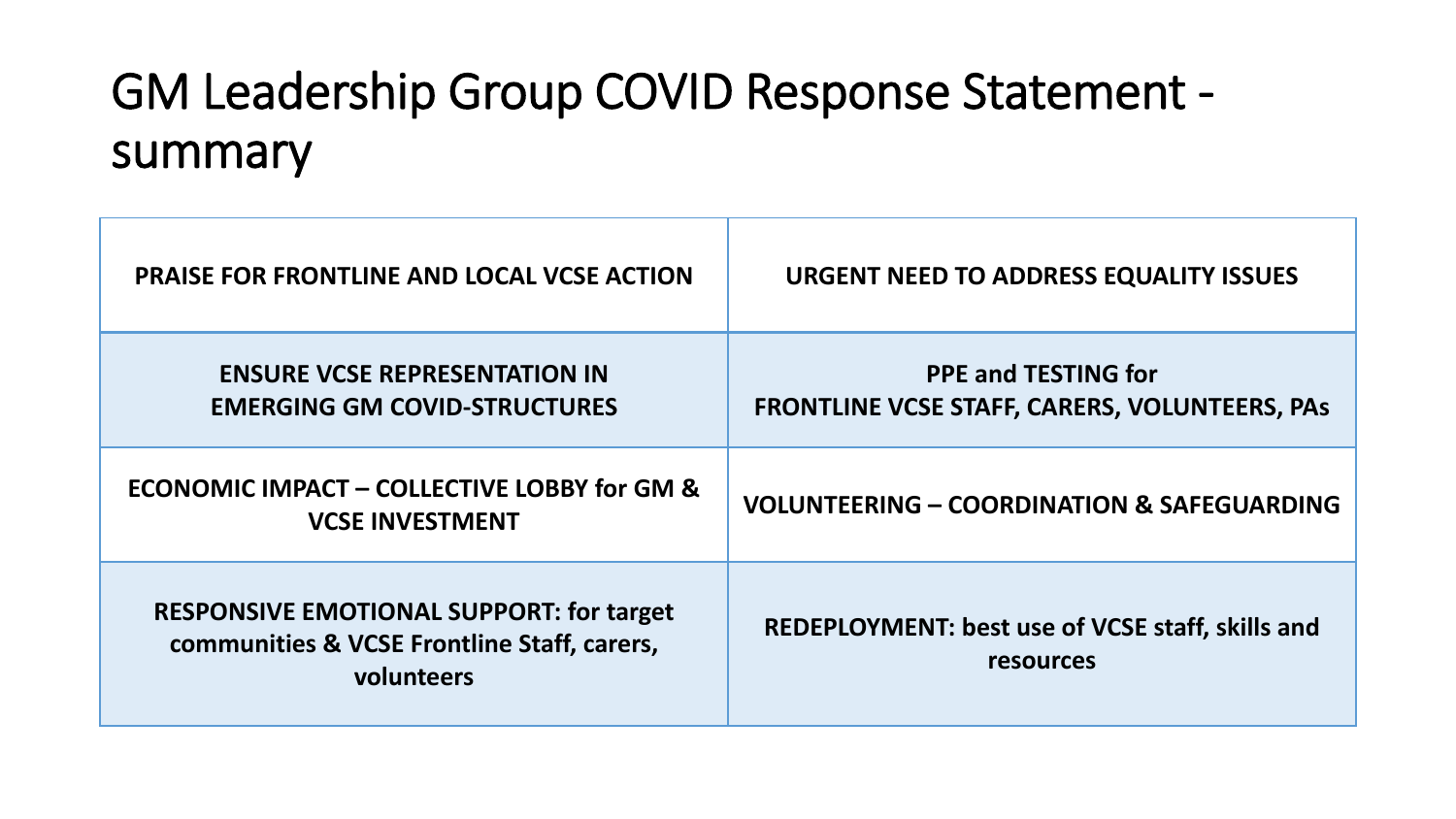#### GM Leadership Group COVID Response Statement summary

| <b>PRAISE FOR FRONTLINE AND LOCAL VCSE ACTION</b>                                                            | URGENT NEED TO ADDRESS EQUALITY ISSUES                                             |
|--------------------------------------------------------------------------------------------------------------|------------------------------------------------------------------------------------|
| <b>ENSURE VCSE REPRESENTATION IN</b><br><b>EMERGING GM COVID-STRUCTURES</b>                                  | <b>PPE and TESTING for</b><br><b>FRONTLINE VCSE STAFF, CARERS, VOLUNTEERS, PAS</b> |
| <b>ECONOMIC IMPACT - COLLECTIVE LOBBY for GM &amp;</b><br><b>VCSE INVESTMENT</b>                             | <b>VOLUNTEERING - COORDINATION &amp; SAFEGUARDING</b>                              |
| <b>RESPONSIVE EMOTIONAL SUPPORT: for target</b><br>communities & VCSE Frontline Staff, carers,<br>volunteers | <b>REDEPLOYMENT: best use of VCSE staff, skills and</b><br><b>resources</b>        |